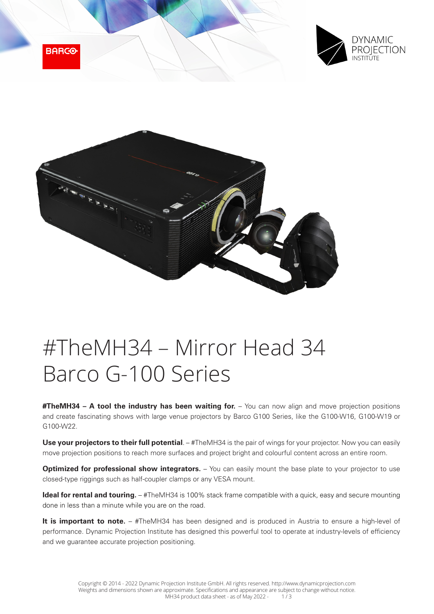





# #TheMH34 – Mirror Head 34 Barco G-100 Series

**#TheMH34 – A tool the industry has been waiting for.** – You can now align and move projection positions and create fascinating shows with large venue projectors by Barco G100 Series, like the G100-W16, G100-W19 or G100-W22.

Use your projectors to their full potential. – #TheMH34 is the pair of wings for your projector. Now you can easily move projection positions to reach more surfaces and project bright and colourful content across an entire room.

**Optimized for professional show integrators.** – You can easily mount the base plate to your projector to use closed-type riggings such as half-coupler clamps or any VESA mount.

**Ideal for rental and touring.** – #TheMH34 is 100% stack frame compatible with a quick, easy and secure mounting done in less than a minute while you are on the road.

It is important to note. - #TheMH34 has been designed and is produced in Austria to ensure a high-level of performance. Dynamic Projection Institute has designed this powerful tool to operate at industry-levels of efficiency and we guarantee accurate projection positioning.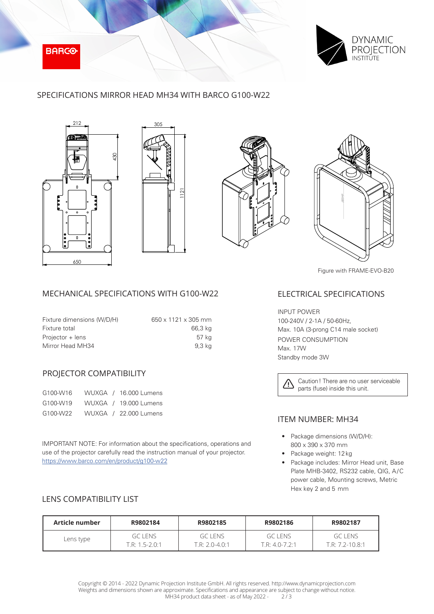



## SPECIFICATIONS MIRROR HEAD MH34 WITH BARCO G100-W22









Figure with FRAME-EVO-B20

## MECHANICAL SPECIFICATIONS WITH G100-W22

| Fixture dimensions (W/D/H) | $650 \times 1121 \times 305$ mm |
|----------------------------|---------------------------------|
| Fixture total              | 66,3 kg                         |
| Projector + lens           | 57 kg                           |
| Mirror Head MH34           | 9,3 kg                          |

### PROJECTOR COMPATIBILITY

| G100-W16 |  | WUXGA / 16.000 Lumens |
|----------|--|-----------------------|
| G100-W19 |  | WUXGA / 19.000 Lumens |
| G100-W22 |  | WUXGA / 22.000 Lumens |

IMPORTANT NOTE: For information about the specifications, operations and use of the projector carefully read the instruction manual of your projector. https://www.barco.com/en/product/g100-w22

#### ELECTRICAL SPECIFICATIONS

INPUT POWER 100-240V / 2-1A / 50-60Hz, Max. 10A (3-prong C14 male socket) POWER CONSUMPTION Max. 17W Standby mode 3W



## ITEM NUMBER: MH34

- Package dimensions (W/D/H): 800 x 390 x 370 mm
- Package weight: 12kg
- Package includes: Mirror Head unit, Base Plate MHB-3402, RS232 cable, QIG, A/C power cable, Mounting screws, Metric Hex key 2 and 5 mm

# LENS COMPATIBILITY LIST

| Article number | R9802184           | R9802185         | R9802186     | R9802187          |
|----------------|--------------------|------------------|--------------|-------------------|
| Lens type      | GC LENS            | GCIENS           | GC LENS      | GC LENS           |
|                | $T.R: 1.5 - 2.0:1$ | $T.R: 2.0-4.0:1$ | $TR: 40-721$ | $T.R: 7.2-10.8:1$ |